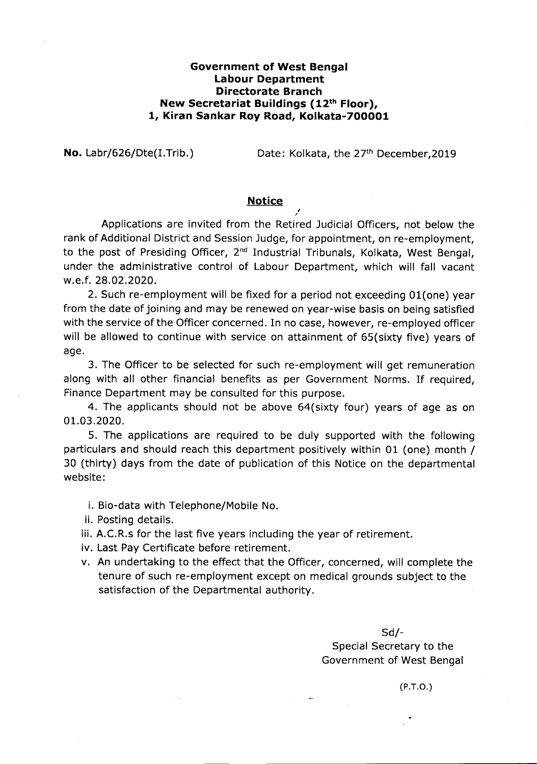## **Government of West Bengal Labour Department Directorate Branch New Secretariat Buildings (12th Floor), 1, Kiran Sankar Roy Road, Kolkata-700001**

**No.** Labr/626/Dte(I.Trib.) Date: Kolkata, the 27<sup>th</sup> December, 2019

## **Notice**

*I*

, Applications are invited from the Retired Judicial Officers, not below the rank of Additional District and Session Judge, for appointment, on re-employment, to the post of Presiding Officer, 2<sup>nd</sup> Industrial Tribunals, Kolkata, West Bengal, under the administrative control of Labour Department, which will fall vacant w.e.f. 28.02.2020.

2. Such re-employment will be fixed for a period not exceeding 01(one) year from the date of joining and may be renewed on year-wise basis on being satisfied with the service of the Officer concerned. In no case, however, re-employed officer will be allowed to continue with service on attainment of 65(sixty five) years of age.

3. The Officer to be selected for such re-employment will get remuneration along with all other financial benefits as per Government Norms. If required, Finance Department may be consulted for this purpose.

4. The applicants should not be above 64(sixty four) years of age as on 01.03.2020.

5. The applications are required to be duly supported with the following particulars and should reach this department positively within 01 (one) month / 30 (thirty) days from the date of publication of this Notice on the departmental website:

- i. Bio-data with Telephone/Mobile No.
- ii. Posting details.
- iii. A.C.R.s for the last five years including the year of retirement.
- iv. Last Pay Certificate before retirement.
- v. An undertaking to the effect that the Officer, concerned, will complete the tenure of such re-employment except on medical grounds subject to the satisfaction of the Departmental authority.

Sd/- Special Secretary to the Government of West Bengal

(P.T.D.)